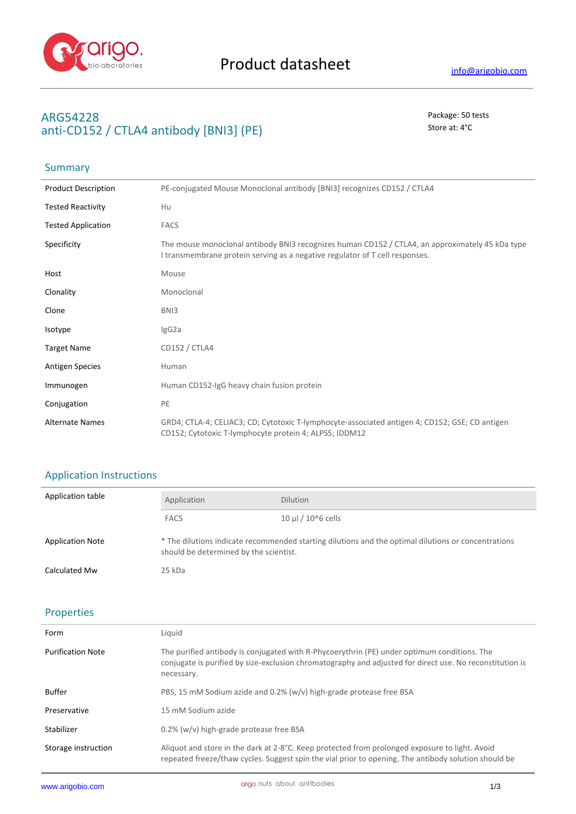

**Summary** 

## **ARG54228** Package: 50 tests **anti-CD152 / CTLA4 antibody [BNI3] (PE)** Store at: 4 °C

# Product Description PE-conjugated Mouse Monoclonal antibody [BNI3] recognizes CD152 / CTLA4 Tested Reactivity Hu Tested Application FACS Specificity The mouse monoclonal antibody BNI3 recognizes human CD152 / CTLA4, an approximately 45 kDa type I transmembrane protein serving as a negative regulator of T cell responses. Host Mouse Clonality Monoclonal Clone BNI3 Isotype IgG2a Target Name CD152 / CTLA4 Antigen Species **Human** Immunogen Human CD152-IgG heavy chain fusion protein Conjugation PE Alternate Names GRD4; CTLA-4; CELIAC3; CD; Cytotoxic T-lymphocyte-associated antigen 4; CD152; GSE; CD antigen CD152; Cytotoxic T-lymphocyte protein 4; ALPS5; IDDM12

## Application Instructions

| Application table       | Application                                                                                                                                   | <b>Dilution</b>           |
|-------------------------|-----------------------------------------------------------------------------------------------------------------------------------------------|---------------------------|
|                         | <b>FACS</b>                                                                                                                                   | $10 \mu$ / $10^{6}$ cells |
| <b>Application Note</b> | * The dilutions indicate recommended starting dilutions and the optimal dilutions or concentrations<br>should be determined by the scientist. |                           |
| Calculated Mw           | 25 kDa                                                                                                                                        |                           |

### Properties

| Form                     | Liquid                                                                                                                                                                                                                |  |
|--------------------------|-----------------------------------------------------------------------------------------------------------------------------------------------------------------------------------------------------------------------|--|
| <b>Purification Note</b> | The purified antibody is conjugated with R-Phycoerythrin (PE) under optimum conditions. The<br>conjugate is purified by size-exclusion chromatography and adjusted for direct use. No reconstitution is<br>necessary. |  |
| <b>Buffer</b>            | PBS, 15 mM Sodium azide and 0.2% (w/v) high-grade protease free BSA                                                                                                                                                   |  |
| Preservative             | 15 mM Sodium azide                                                                                                                                                                                                    |  |
| Stabilizer               | 0.2% (w/v) high-grade protease free BSA                                                                                                                                                                               |  |
| Storage instruction      | Aliquot and store in the dark at 2-8°C. Keep protected from prolonged exposure to light. Avoid<br>repeated freeze/thaw cycles. Suggest spin the vial prior to opening. The antibody solution should be                |  |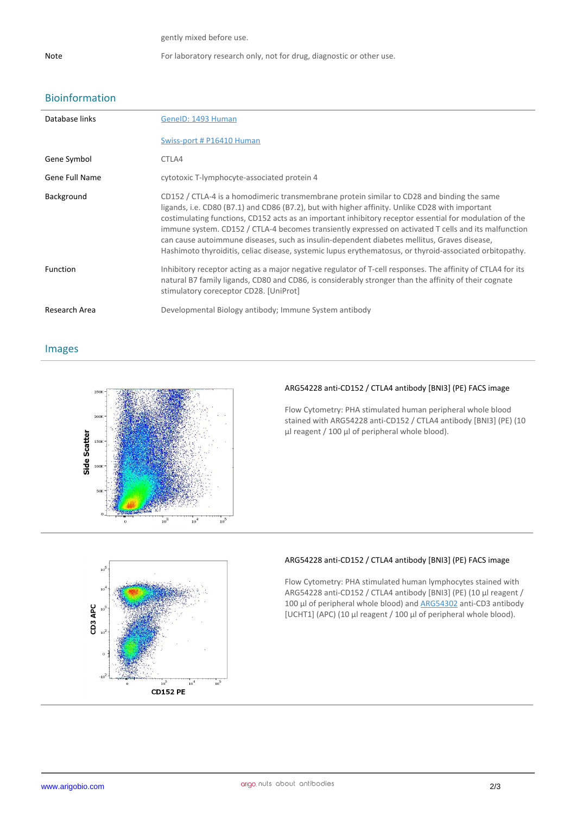gently mixed before use.

## Bioinformation

| Database links        | GenelD: 1493 Human                                                                                                                                                                                                                                                                                                                                                                                                                                                                                                                                                                                                         |
|-----------------------|----------------------------------------------------------------------------------------------------------------------------------------------------------------------------------------------------------------------------------------------------------------------------------------------------------------------------------------------------------------------------------------------------------------------------------------------------------------------------------------------------------------------------------------------------------------------------------------------------------------------------|
|                       | Swiss-port # P16410 Human                                                                                                                                                                                                                                                                                                                                                                                                                                                                                                                                                                                                  |
| Gene Symbol           | CTLA4                                                                                                                                                                                                                                                                                                                                                                                                                                                                                                                                                                                                                      |
| <b>Gene Full Name</b> | cytotoxic T-lymphocyte-associated protein 4                                                                                                                                                                                                                                                                                                                                                                                                                                                                                                                                                                                |
| Background            | CD152 / CTLA-4 is a homodimeric transmembrane protein similar to CD28 and binding the same<br>ligands, i.e. CD80 (B7.1) and CD86 (B7.2), but with higher affinity. Unlike CD28 with important<br>costimulating functions, CD152 acts as an important inhibitory receptor essential for modulation of the<br>immune system. CD152 / CTLA-4 becomes transiently expressed on activated T cells and its malfunction<br>can cause autoimmune diseases, such as insulin-dependent diabetes mellitus, Graves disease,<br>Hashimoto thyroiditis, celiac disease, systemic lupus erythematosus, or thyroid-associated orbitopathy. |
| Function              | Inhibitory receptor acting as a major negative regulator of T-cell responses. The affinity of CTLA4 for its<br>natural B7 family ligands, CD80 and CD86, is considerably stronger than the affinity of their cognate<br>stimulatory coreceptor CD28. [UniProt]                                                                                                                                                                                                                                                                                                                                                             |
| Research Area         | Developmental Biology antibody; Immune System antibody                                                                                                                                                                                                                                                                                                                                                                                                                                                                                                                                                                     |

Images



#### **ARG54228 anti-CD152 / CTLA4 antibody [BNI3] (PE) FACS image**

Flow Cytometry: PHA stimulated human peripheral whole blood stained with ARG54228 anti-CD152 / CTLA4 antibody [BNI3] (PE) (10 µl reagent / 100 µl of peripheral whole blood).



#### **ARG54228 anti-CD152 / CTLA4 antibody [BNI3] (PE) FACS image**

Flow Cytometry: PHA stimulated human lymphocytes stained with ARG54228 anti-CD152 / CTLA4 antibody [BNI3] (PE) (10 µl reagent / 100 µl of peripheral whole blood) and ARG54302 anti-CD3 antibody [UCHT1] (APC) (10 µl reagent / 100 µl of peripheral whole blood).